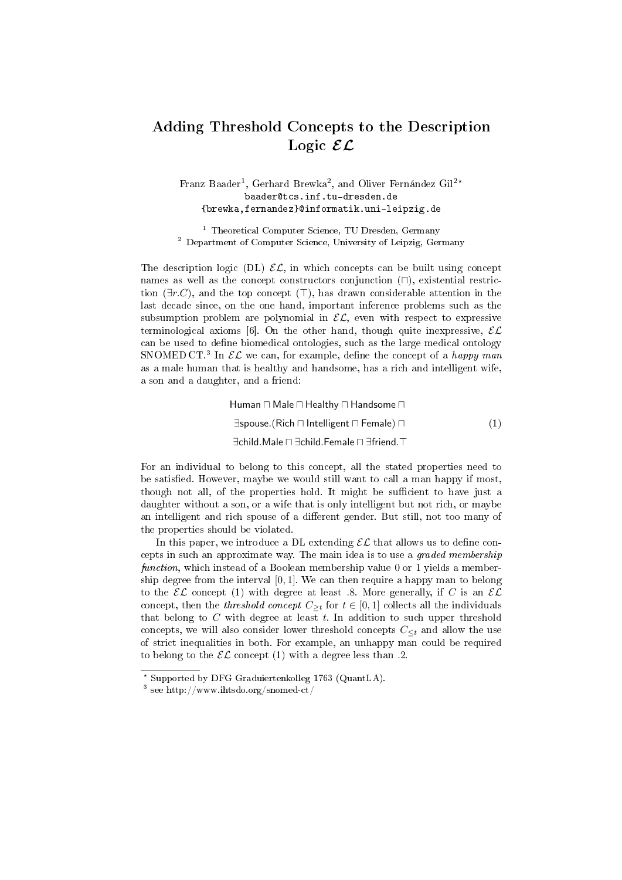## Adding Threshold Concepts to the Description Logic  $\mathcal{EL}$

## Franz Baader<sup>1</sup>, Gerhard Brewka<sup>2</sup>, and Oliver Fernández Gil<sup>2\*</sup> baader@tcs.inf.tu-dresden.de {brewka,fernandez}@informatik.uni-leipzig.de

<sup>1</sup> Theoretical Computer Science, TU Dresden, Germany <sup>2</sup> Department of Computer Science, University of Leipzig, Germany

The description logic (DL)  $\mathcal{EL}$ , in which concepts can be built using concept names as well as the concept constructors conjunction  $(\cap)$ , existential restriction  $(\exists r.C)$ , and the top concept ( $\top$ ), has drawn considerable attention in the last decade since, on the one hand, important inference problems such as the subsumption problem are polynomial in  $\mathcal{EL}$ , even with respect to expressive terminological axioms [6]. On the other hand, though quite inexpressive,  $\mathcal{EL}$ can be used to define biomedical ontologies, such as the large medical ontology SNOMED CT.<sup>3</sup> In  $\mathcal{EL}$  we can, for example, define the concept of a happy man as a male human that is healthy and handsome, has a rich and intelligent wife, a son and a daughter, and a friend:

> Human  $\sqcap$  Male  $\sqcap$  Healthy  $\sqcap$  Handsome  $\sqcap$  $\exists$ spouse.(Rich  $\sqcap$  Intelligent  $\sqcap$  Female)  $\sqcap$  (1) ∃child.Male □ ∃child.Female □ ∃friend. T

For an individual to belong to this concept, all the stated properties need to be satisfied. However, maybe we would still want to call a man happy if most, though not all, of the properties hold. It might be sufficient to have just a daughter without a son, or a wife that is only intelligent but not rich, or maybe an intelligent and rich spouse of a different gender. But still, not too many of the properties should be violated.

In this paper, we introduce a DL extending  $\mathcal{EL}$  that allows us to define concepts in such an approximate way. The main idea is to use a graded membership function, which instead of a Boolean membership value 0 or 1 yields a membership degree from the interval  $[0, 1]$ . We can then require a happy man to belong to the  $\mathcal{EL}$  concept (1) with degree at least .8. More generally, if C is an  $\mathcal{EL}$ concept, then the *threshold concept*  $C_{\geq t}$  for  $t \in [0,1]$  collects all the individuals that belong to  $C$  with degree at least  $t$ . In addition to such upper threshold concepts, we will also consider lower threshold concepts  $C_{\leq t}$  and allow the use of strict inequalities in both. For example, an unhappy man could be required to belong to the  $\mathcal{EL}$  concept (1) with a degree less than .2.

<sup>?</sup> Supported by DFG Graduiertenkolleg 1763 (QuantLA).

<sup>3</sup> see http://www.ihtsdo.org/snomed-ct/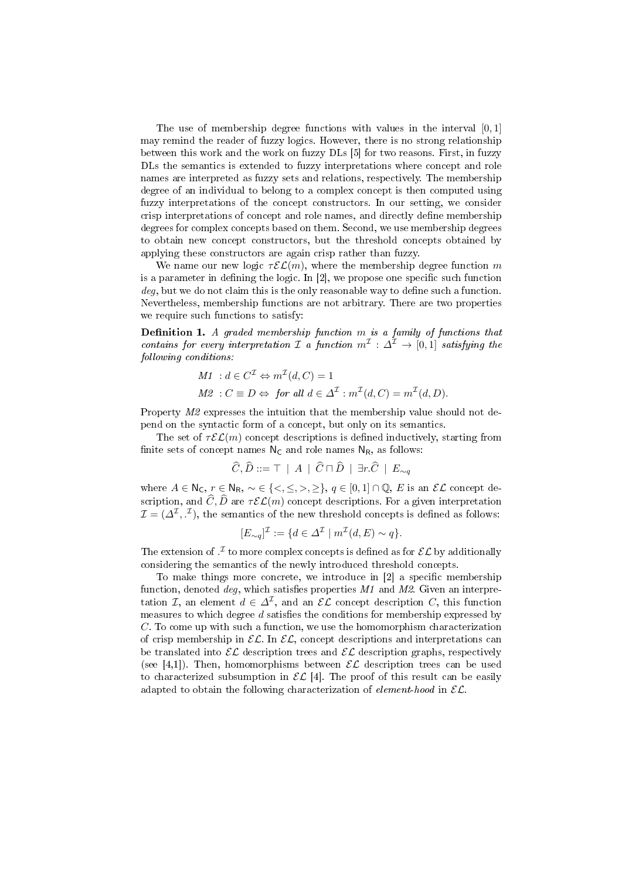The use of membership degree functions with values in the interval  $[0, 1]$ may remind the reader of fuzzy logics. However, there is no strong relationship between this work and the work on fuzzy DLs [5] for two reasons. First, in fuzzy DLs the semantics is extended to fuzzy interpretations where concept and role names are interpreted as fuzzy sets and relations, respectively. The membership degree of an individual to belong to a complex concept is then computed using fuzzy interpretations of the concept constructors. In our setting, we consider crisp interpretations of concept and role names, and directly define membership degrees for complex concepts based on them. Second, we use membership degrees to obtain new concept constructors, but the threshold concepts obtained by applying these constructors are again crisp rather than fuzzy.

We name our new logic  $\tau \mathcal{EL}(m)$ , where the membership degree function m is a parameter in defining the logic. In  $[2]$ , we propose one specific such function  $deq$ , but we do not claim this is the only reasonable way to define such a function. Nevertheless, membership functions are not arbitrary. There are two properties we require such functions to satisfy:

**Definition 1.** A graded membership function  $m$  is a family of functions that contains for every interpretation  $\mathcal I$  a function  $m^{\mathcal I}: \Delta^{\mathcal I} \to [0,1]$  satisfying the following conditions:

M1: 
$$
d \in C^{\mathcal{I}} \Leftrightarrow m^{\mathcal{I}}(d, C) = 1
$$
  
M2:  $C \equiv D \Leftrightarrow \text{ for all } d \in \Delta^{\mathcal{I}} : m^{\mathcal{I}}(d, C) = m^{\mathcal{I}}(d, D).$ 

Property M2 expresses the intuition that the membership value should not depend on the syntactic form of a concept, but only on its semantics.

The set of  $\tau \mathcal{EL}(m)$  concept descriptions is defined inductively, starting from finite sets of concept names  $N_C$  and role names  $N_R$ , as follows:

$$
\widehat{C}, \widehat{D} ::= \top \mid A \mid \widehat{C} \sqcap \widehat{D} \mid \exists r. \widehat{C} \mid E_{\sim q}
$$

where  $A \in \mathbb{N}_{\mathsf{C}}$ ,  $r \in \mathbb{N}_{\mathsf{R}}$ ,  $\sim \in \{ \leq, \leq, \geq, \geq \}, q \in [0,1] \cap \mathbb{Q}$ , E is an  $\mathcal{EL}$  concept description, and  $\widehat{C}, \widehat{D}$  are  $\tau \mathcal{EL}(m)$  concept descriptions. For a given interpretation  $\mathcal{I} = (\varDelta^{\mathcal{I}}, \cdot^{\mathcal{I}}),$  the semantics of the new threshold concepts is defined as follows:

$$
[E_{\sim q}]^{\mathcal{I}} := \{ d \in \Delta^{\mathcal{I}} \mid m^{\mathcal{I}}(d, E) \sim q \}.
$$

The extension of  $\mathcal{I}$  to more complex concepts is defined as for  $\mathcal{EL}$  by additionally considering the semantics of the newly introduced threshold concepts.

To make things more concrete, we introduce in  $[2]$  a specific membership function, denoted  $deq$ , which satisfies properties M1 and M2. Given an interpretation *I*, an element  $d \in \Delta^{\mathcal{I}}$ , and an  $\mathcal{EL}$  concept description *C*, this function measures to which degree  $d$  satisfies the conditions for membership expressed by C. To come up with such a function, we use the homomorphism characterization of crisp membership in  $\mathcal{EL}$ . In  $\mathcal{EL}$ , concept descriptions and interpretations can be translated into  $\mathcal{EL}$  description trees and  $\mathcal{EL}$  description graphs, respectively (see [4,1]). Then, homomorphisms between  $\mathcal{EL}$  description trees can be used to characterized subsumption in  $\mathcal{EL}$  [4]. The proof of this result can be easily adapted to obtain the following characterization of element-hood in  $\mathcal{EL}$ .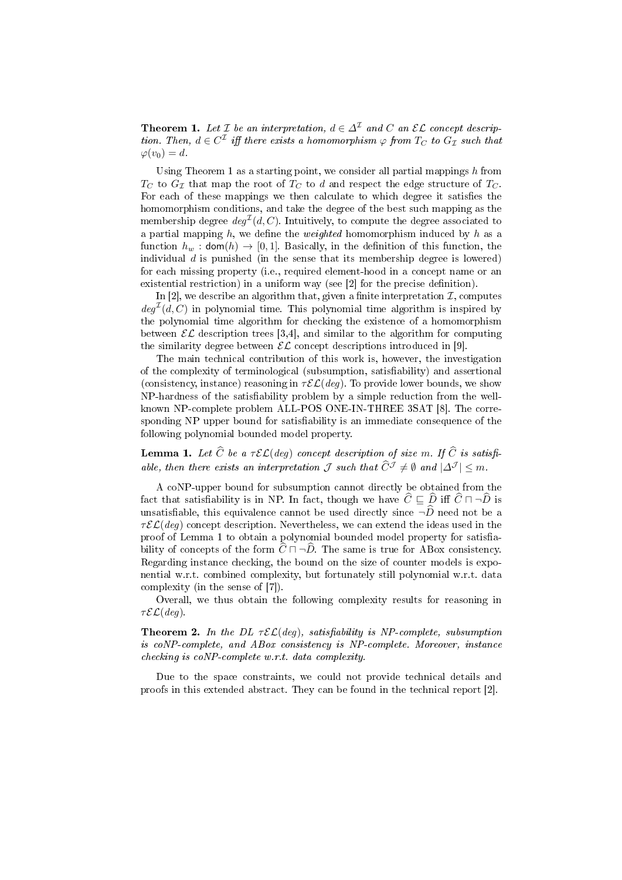**Theorem 1.** Let  $\mathcal{I}$  be an interpretation,  $d \in \Delta^{\mathcal{I}}$  and  $C$  an  $\mathcal{EL}$  concept description. Then,  $d \in C^{\mathcal{I}}$  iff there exists a homomorphism  $\varphi$  from  $T_C$  to  $G_{\mathcal{I}}$  such that  $\varphi(v_0) = d.$ 

Using Theorem 1 as a starting point, we consider all partial mappings  $h$  from  $T_C$  to  $G_{\mathcal{I}}$  that map the root of  $T_C$  to d and respect the edge structure of  $T_C$ . For each of these mappings we then calculate to which degree it satisfies the homomorphism conditions, and take the degree of the best such mapping as the membership degree  $deg^{\mathcal{I}}(d, C)$ . Intuitively, to compute the degree associated to a partial mapping  $h$ , we define the *weighted* homomorphism induced by  $h$  as a function  $h_w$ :  $\text{dom}(h) \rightarrow [0, 1]$ . Basically, in the definition of this function, the individual  $d$  is punished (in the sense that its membership degree is lowered) for each missing property (i.e., required element-hood in a concept name or an existential restriction) in a uniform way (see [2] for the precise definition).

In [2], we describe an algorithm that, given a finite interpretation  $\mathcal I$ , computes  $deg^{\mathcal{I}}(d, C)$  in polynomial time. This polynomial time algorithm is inspired by the polynomial time algorithm for checking the existence of a homomorphism between  $\mathcal{EL}$  description trees [3,4], and similar to the algorithm for computing the similarity degree between  $\mathcal{EL}$  concept descriptions introduced in [9].

The main technical contribution of this work is, however, the investigation of the complexity of terminological (subsumption, satisability) and assertional (consistency, instance) reasoning in  $\tau \mathcal{EL}(deq)$ . To provide lower bounds, we show NP-hardness of the satisfiability problem by a simple reduction from the wellknown NP-complete problem ALL-POS ONE-IN-THREE 3SAT [8]. The corresponding NP upper bound for satisfiability is an immediate consequence of the following polynomial bounded model property.

**Lemma 1.** Let  $\widehat{C}$  be a  $\tau \mathcal{EL}(deg)$  concept description of size m. If  $\widehat{C}$  is satisfiable, then there exists an interpretation  $\mathcal J$  such that  $\widehat{C}^{\mathcal J}\neq \emptyset$  and  $|\Delta^{\mathcal J}| < m$ .

A coNP-upper bound for subsumption cannot directly be obtained from the fact that satisfiability is in NP. In fact, though we have  $\hat{C} \subseteq \hat{D}$  iff  $\hat{C} \sqcap \neg \hat{D}$  is unsatisfiable, this equivalence cannot be used directly since  $\neg \widehat{D}$  need not be a  $\tau \mathcal{EL}(deq)$  concept description. Nevertheless, we can extend the ideas used in the proof of Lemma 1 to obtain a polynomial bounded model property for satisability of concepts of the form  $\widehat{C} \sqcap \neg \widehat{D}$ . The same is true for ABox consistency. Regarding instance checking, the bound on the size of counter models is exponential w.r.t. combined complexity, but fortunately still polynomial w.r.t. data complexity (in the sense of [7]).

Overall, we thus obtain the following complexity results for reasoning in  $\tau \mathcal{EL}(deq)$ .

**Theorem 2.** In the DL  $\tau \mathcal{EL}(deg)$ , satisfiability is NP-complete, subsumption is coNP-complete, and ABox consistency is NP-complete. Moreover, instance checking is coNP-complete w.r.t. data complexity.

Due to the space constraints, we could not provide technical details and proofs in this extended abstract. They can be found in the technical report [2].